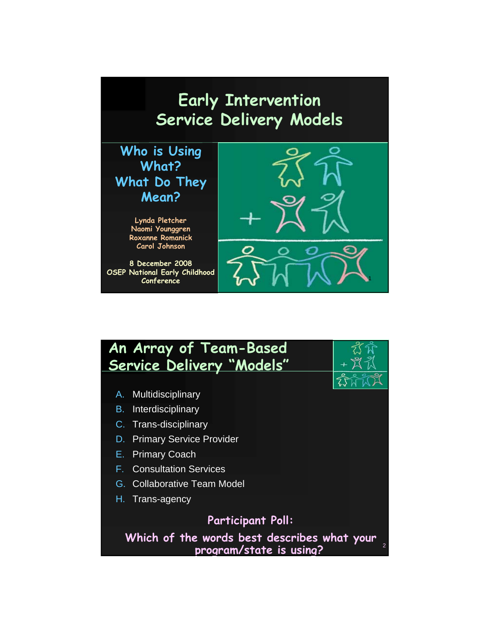

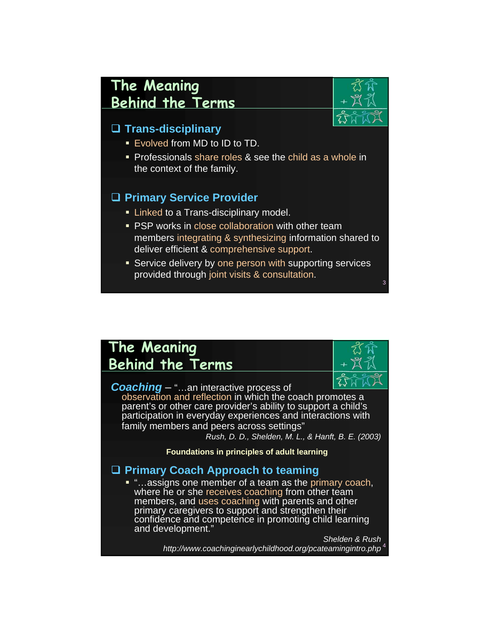## **The Meaning Behind the Terms**

### **Trans-disciplinary**

- **Exolved from MD to ID to TD.**
- **Professionals share roles & see the child as a whole in** the context of the family.

### **Primary Service Provider**

- **Example 1** Linked to a Trans-disciplinary model.
- **PSP works in close collaboration with other team** members integrating & synthesizing information shared to deliver efficient & comprehensive support.
- **Service delivery by one person with supporting services** provided through joint visits & consultation.

## **The Meaning Behind the Terms**

**Coaching** – "...an interactive process of observation and reflection in which the coach promotes a parent's or other care provider's ability to support a child's participation in everyday experiences and interactions with family members and peers across settings"

*Rush, D. D., Shelden, M. L., & Hanft, B. E. (2003)*

3

**Foundations in principles of adult learning**

#### **Primary Coach Approach to teaming**

■ "…assigns one member of a team as the primary coach, where he or she receives coaching from other team members, and uses coaching with parents and other primary caregivers to support and strengthen their confidence and competence in promoting child learning and development."

> 4 *Shelden & Rush http://www.coachinginearlychildhood.org/pcateamingintro.php*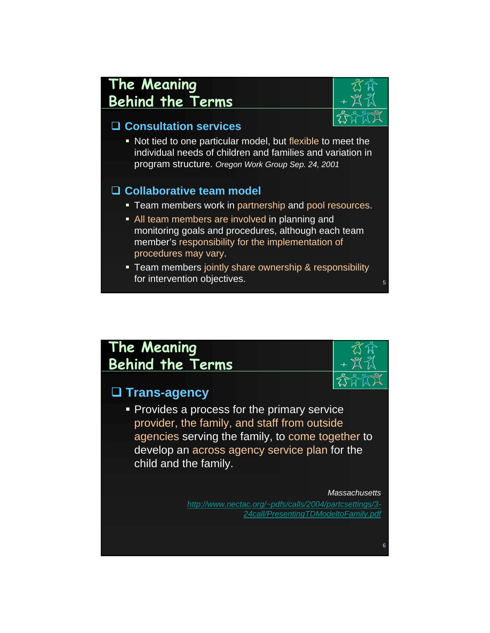## **The Meaning Behind the Terms**



#### **Consultation services**

 Not tied to one particular model, but flexible to meet the individual needs of children and families and variation in program structure. *Oregon Work Group Sep. 24, 2001* 

#### **Collaborative team model**

- **Team members work in partnership and pool resources.**
- **All team members are involved in planning and** monitoring goals and procedures, although each team member's responsibility for the implementation of procedures may vary.
- **Team members jointly share ownership & responsibility** for intervention objectives.

## **The Meaning Behind the Terms**

### **Trans-agency**

Provides a process for the primary service provider, the family, and staff from outside agencies serving the family, to come together to develop an across agency service plan for the child and the family.

> *Massachusetts http://www.nectac.org/~pdfs/calls/2004/partcsettings/3- 24call/PresentingTDModeltoFamily.pdf*

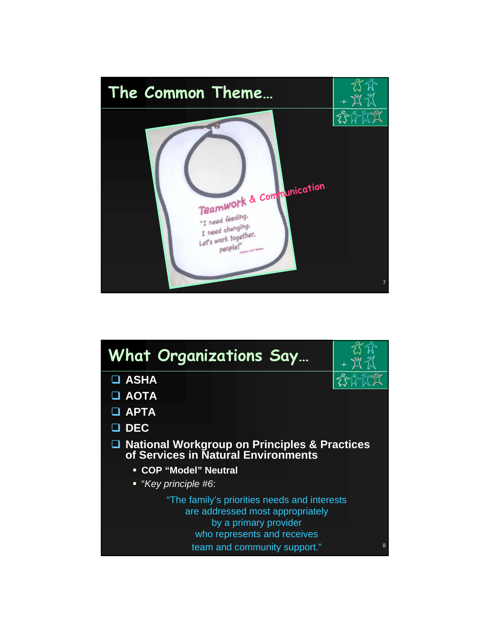

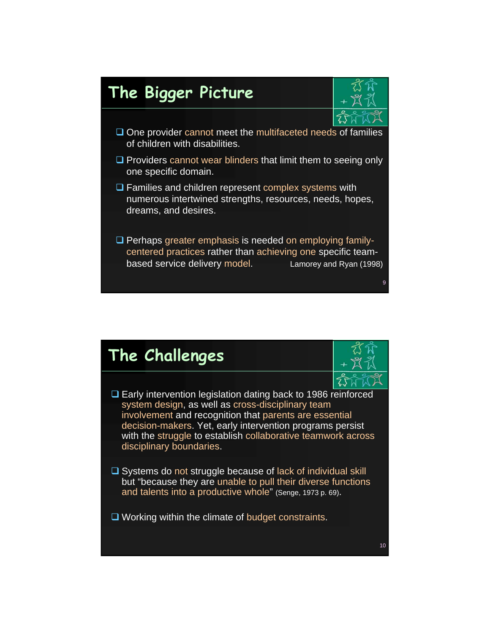# **The Bigger Picture**



- $\square$  One provider cannot meet the multifaceted needs of families of children with disabilities.
- $\square$  Providers cannot wear blinders that limit them to seeing only one specific domain.
- $\Box$  Families and children represent complex systems with numerous intertwined strengths, resources, needs, hopes, dreams, and desires.
- $\square$  Perhaps greater emphasis is needed on employing familycentered practices rather than achieving one specific teambased service delivery model. Lamorey and Ryan (1998)

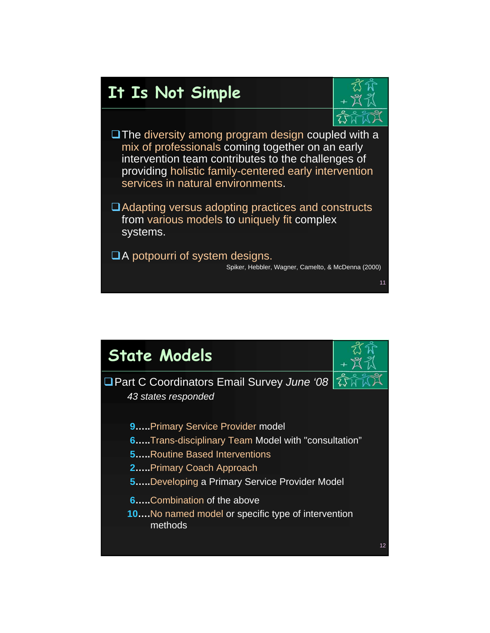# **It Is Not Simple**



- $\square$  The diversity among program design coupled with a mix of professionals coming together on an early intervention team contributes to the challenges of providing holistic family-centered early intervention services in natural environments.
- ■Adapting versus adopting practices and constructs from various models to uniquely fit complex systems.
- □A potpourri of system designs. Spiker, Hebbler, Wagner, Camelto, & McDenna (2000)

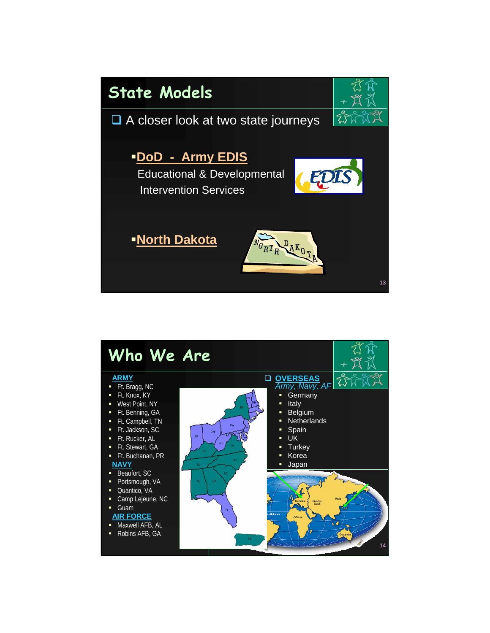

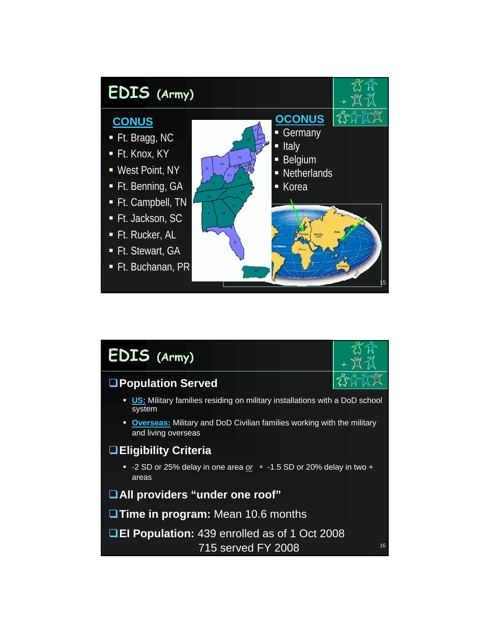

| <b>EDIS</b> (Army)                                                                              | 怼爺<br>$+23.30$ |  |
|-------------------------------------------------------------------------------------------------|----------------|--|
| <b>□Population Served</b>                                                                       |                |  |
| <b>US:</b> Military families residing on military installations with a DoD school<br>system     |                |  |
| • Overseas: Military and DoD Civilian families working with the military<br>and living overseas |                |  |
| <b>□ Eligibility Criteria</b>                                                                   |                |  |
| - -2 SD or $25\%$ delay in one area or - -1.5 SD or 20% delay in two +<br>areas                 |                |  |
| <b>OAII</b> providers "under one roof"                                                          |                |  |
| <b>Time in program:</b> Mean 10.6 months                                                        |                |  |
| <b>QEI Population:</b> 439 enrolled as of 1 Oct 2008<br>715 served FY 2008                      | 16             |  |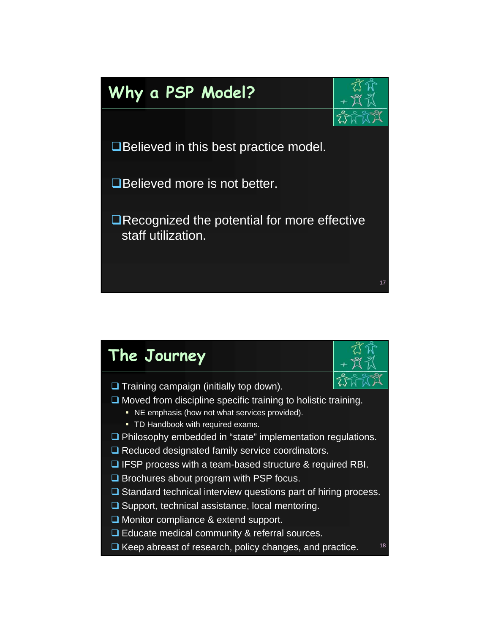# **Why a PSP Model?**



17

**■Believed in this best practice model.** 

**■Believed more is not better.** 

■Recognized the potential for more effective staff utilization.

### 18 **The Journey**  $\Box$  Training campaign (initially top down).  $\Box$  Moved from discipline specific training to holistic training. **NE** emphasis (how not what services provided). **TD Handbook with required exams.**  Philosophy embedded in "state" implementation regulations. □ Reduced designated family service coordinators.  $\Box$  IFSP process with a team-based structure & required RBI.  $\Box$  Brochures about program with PSP focus.  $\square$  Standard technical interview questions part of hiring process.  $\square$  Support, technical assistance, local mentoring. □ Monitor compliance & extend support. □ Educate medical community & referral sources.  $\Box$  Keep abreast of research, policy changes, and practice.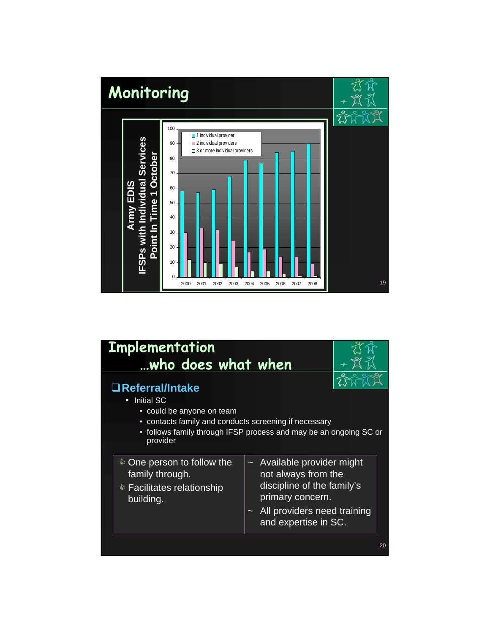

| <b>Implementation</b><br>who does what when                                                                                                                                                                        |                                                                                                                                                                                   |  |
|--------------------------------------------------------------------------------------------------------------------------------------------------------------------------------------------------------------------|-----------------------------------------------------------------------------------------------------------------------------------------------------------------------------------|--|
| □Referral/Intake<br><b>Initial SC</b><br>П<br>• could be anyone on team<br>contacts family and conducts screening if necessary<br>٠<br>follows family through IFSP process and may be an ongoing SC or<br>provider |                                                                                                                                                                                   |  |
| ♦ One person to follow the<br>family through.<br>♦ Facilitates relationship<br>building.                                                                                                                           | Available provider might<br>$\tilde{\phantom{a}}$<br>not always from the<br>discipline of the family's<br>primary concern.<br>All providers need training<br>and expertise in SC. |  |
|                                                                                                                                                                                                                    | 20                                                                                                                                                                                |  |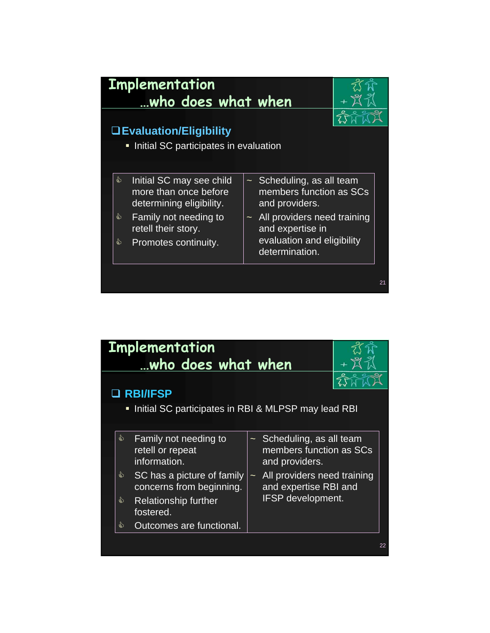

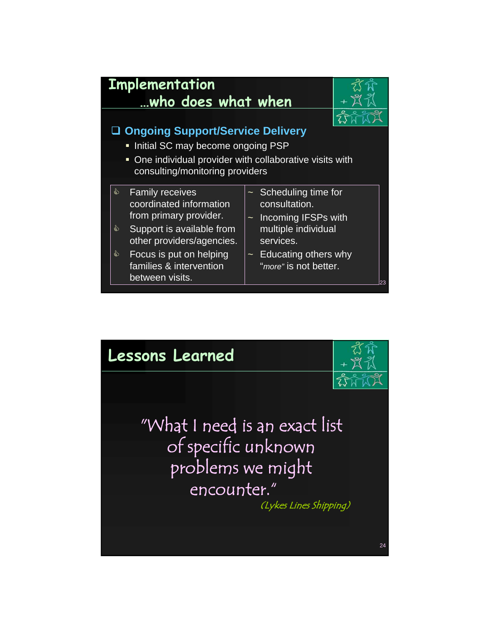

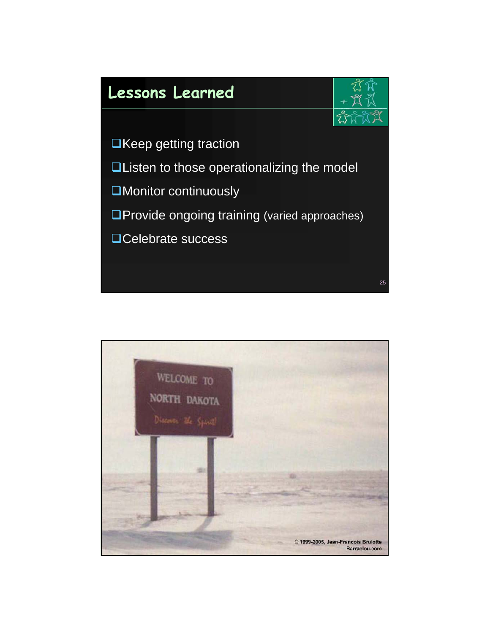

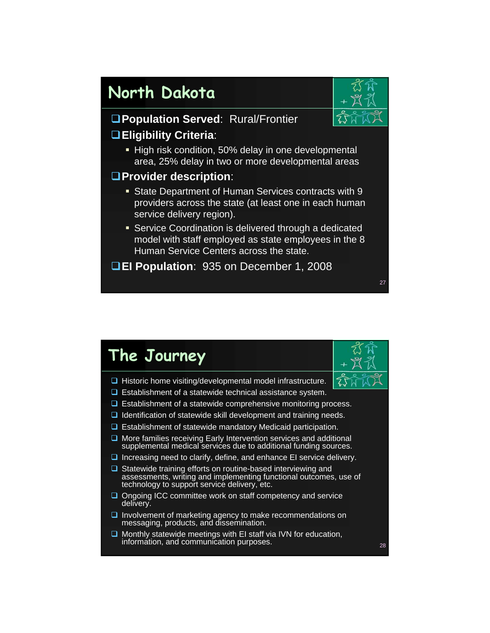## **North Dakota**



27

**Population Served**: Rural/Frontier **Eligibility Criteria**:

**High risk condition, 50% delay in one developmental** area, 25% delay in two or more developmental areas

#### **Provider description**:

- State Department of Human Services contracts with 9 providers across the state (at least one in each human service delivery region).
- Service Coordination is delivered through a dedicated model with staff employed as state employees in the 8 Human Service Centers across the state.

**EI Population**: 935 on December 1, 2008

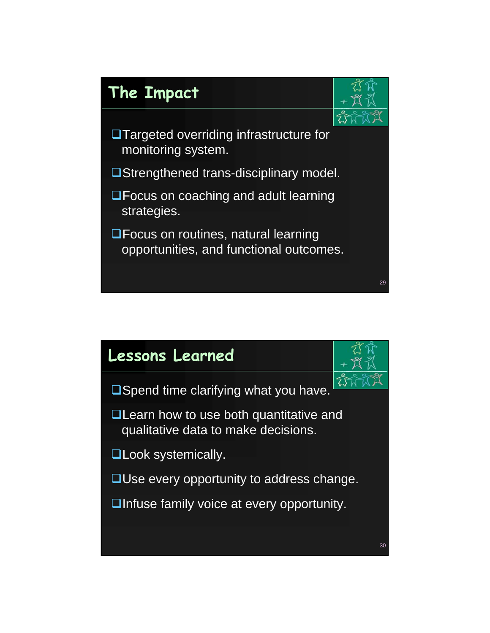

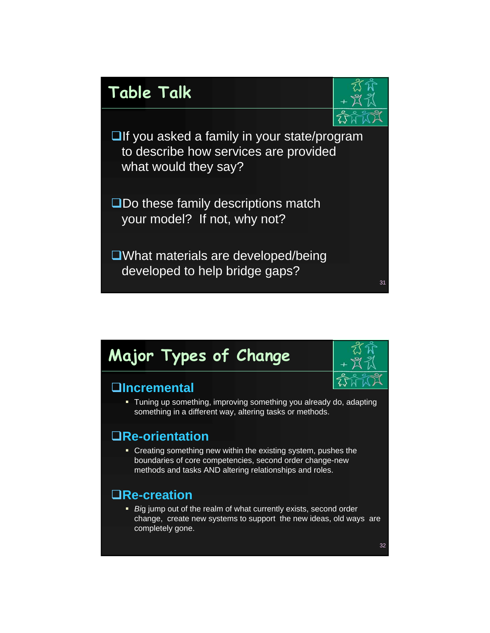

# **Major Types of Change**

### **Incremental**

 Tuning up something, improving something you already do, adapting something in a different way, altering tasks or methods.

### **Re-orientation**

 Creating something new within the existing system, pushes the boundaries of core competencies, second order change-new methods and tasks AND altering relationships and roles.

### **Re-creation**

 *Bi*g jump out of the realm of what currently exists, second order change, create new systems to support the new ideas, old ways are completely gone.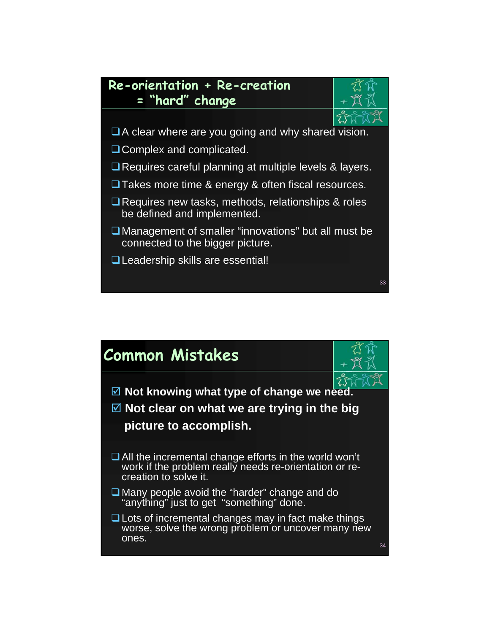



- $\Box$  A clear where are you going and why shared vision.
- □ Complex and complicated.
- □ Requires careful planning at multiple levels & layers.
- □ Takes more time & energy & often fiscal resources.
- **□ Requires new tasks, methods, relationships & roles** be defined and implemented.
- Management of smaller "innovations" but all must be connected to the bigger picture.
- **QLeadership skills are essential!**

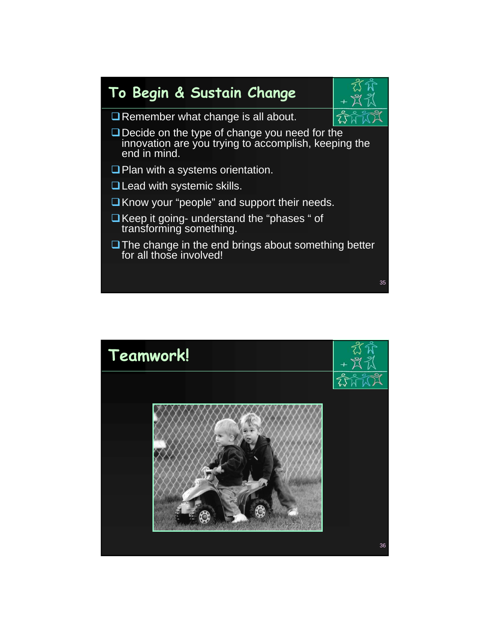



- Remember what change is all about.
- Decide on the type of change you need for the innovation are you trying to accomplish, keeping the end in mind.
- $\Box$  Plan with a systems orientation.
- □ Lead with systemic skills.
- $\Box$  Know your "people" and support their needs.
- $\Box$  Keep it going- understand the "phases " of transforming something.
- $\Box$  The change in the end brings about something better for all those involved!